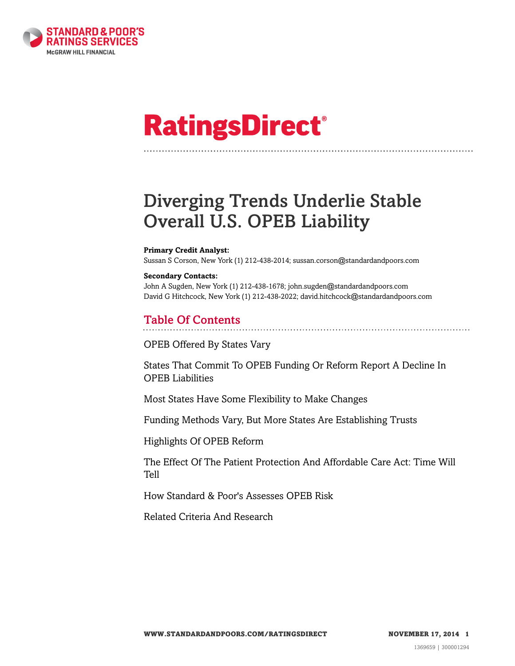

# **RatingsDirect®**

## Diverging Trends Underlie Stable Overall U.S. OPEB Liability

#### **Primary Credit Analyst:**

Sussan S Corson, New York (1) 212-438-2014; sussan.corson@standardandpoors.com

#### **Secondary Contacts:**

John A Sugden, New York (1) 212-438-1678; john.sugden@standardandpoors.com David G Hitchcock, New York (1) 212-438-2022; david.hitchcock@standardandpoors.com

### Table Of Contents

[OPEB Offered By States Vary](#page-1-0)

[States That Commit To OPEB Funding Or Reform Report A Decline In](#page-2-0) [OPEB Liabilities](#page-2-0)

[Most States Have Some Flexibility to Make Changes](#page-3-0)

[Funding Methods Vary, But More States Are Establishing Trusts](#page-4-0)

[Highlights Of OPEB Reform](#page-6-0)

[The Effect Of The Patient Protection And Affordable Care Act: Time Will](#page-7-0) [Tell](#page-7-0)

[How Standard & Poor's Assesses OPEB Risk](#page-7-1)

[Related Criteria And Research](#page-20-0)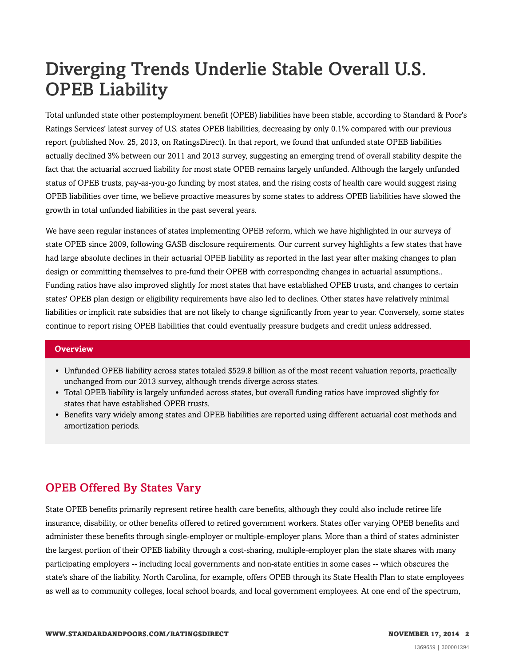## Diverging Trends Underlie Stable Overall U.S. OPEB Liability

Total unfunded state other postemployment benefit (OPEB) liabilities have been stable, according to Standard & Poor's Ratings Services' latest survey of U.S. states OPEB liabilities, decreasing by only 0.1% compared with our previous report (published Nov. 25, 2013, on RatingsDirect). In that report, we found that unfunded state OPEB liabilities actually declined 3% between our 2011 and 2013 survey, suggesting an emerging trend of overall stability despite the fact that the actuarial accrued liability for most state OPEB remains largely unfunded. Although the largely unfunded status of OPEB trusts, pay-as-you-go funding by most states, and the rising costs of health care would suggest rising OPEB liabilities over time, we believe proactive measures by some states to address OPEB liabilities have slowed the growth in total unfunded liabilities in the past several years.

We have seen regular instances of states implementing OPEB reform, which we have highlighted in our surveys of state OPEB since 2009, following GASB disclosure requirements. Our current survey highlights a few states that have had large absolute declines in their actuarial OPEB liability as reported in the last year after making changes to plan design or committing themselves to pre-fund their OPEB with corresponding changes in actuarial assumptions.. Funding ratios have also improved slightly for most states that have established OPEB trusts, and changes to certain states' OPEB plan design or eligibility requirements have also led to declines. Other states have relatively minimal liabilities or implicit rate subsidies that are not likely to change significantly from year to year. Conversely, some states continue to report rising OPEB liabilities that could eventually pressure budgets and credit unless addressed.

#### **Overview**

- Unfunded OPEB liability across states totaled \$529.8 billion as of the most recent valuation reports, practically unchanged from our 2013 survey, although trends diverge across states.
- Total OPEB liability is largely unfunded across states, but overall funding ratios have improved slightly for states that have established OPEB trusts.
- Benefits vary widely among states and OPEB liabilities are reported using different actuarial cost methods and amortization periods.

## <span id="page-1-0"></span>OPEB Offered By States Vary

State OPEB benefits primarily represent retiree health care benefits, although they could also include retiree life insurance, disability, or other benefits offered to retired government workers. States offer varying OPEB benefits and administer these benefits through single-employer or multiple-employer plans. More than a third of states administer the largest portion of their OPEB liability through a cost-sharing, multiple-employer plan the state shares with many participating employers -- including local governments and non-state entities in some cases -- which obscures the state's share of the liability. North Carolina, for example, offers OPEB through its State Health Plan to state employees as well as to community colleges, local school boards, and local government employees. At one end of the spectrum,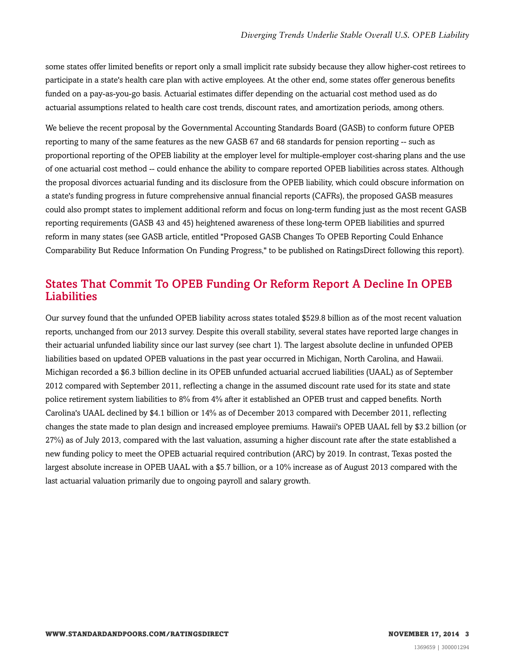some states offer limited benefits or report only a small implicit rate subsidy because they allow higher-cost retirees to participate in a state's health care plan with active employees. At the other end, some states offer generous benefits funded on a pay-as-you-go basis. Actuarial estimates differ depending on the actuarial cost method used as do actuarial assumptions related to health care cost trends, discount rates, and amortization periods, among others.

We believe the recent proposal by the Governmental Accounting Standards Board (GASB) to conform future OPEB reporting to many of the same features as the new GASB 67 and 68 standards for pension reporting -- such as proportional reporting of the OPEB liability at the employer level for multiple-employer cost-sharing plans and the use of one actuarial cost method -- could enhance the ability to compare reported OPEB liabilities across states. Although the proposal divorces actuarial funding and its disclosure from the OPEB liability, which could obscure information on a state's funding progress in future comprehensive annual financial reports (CAFRs), the proposed GASB measures could also prompt states to implement additional reform and focus on long-term funding just as the most recent GASB reporting requirements (GASB 43 and 45) heightened awareness of these long-term OPEB liabilities and spurred reform in many states (see GASB article, entitled "Proposed GASB Changes To OPEB Reporting Could Enhance Comparability But Reduce Information On Funding Progress," to be published on RatingsDirect following this report).

## <span id="page-2-0"></span>States That Commit To OPEB Funding Or Reform Report A Decline In OPEB Liabilities

Our survey found that the unfunded OPEB liability across states totaled \$529.8 billion as of the most recent valuation reports, unchanged from our 2013 survey. Despite this overall stability, several states have reported large changes in their actuarial unfunded liability since our last survey (see chart 1). The largest absolute decline in unfunded OPEB liabilities based on updated OPEB valuations in the past year occurred in Michigan, North Carolina, and Hawaii. Michigan recorded a \$6.3 billion decline in its OPEB unfunded actuarial accrued liabilities (UAAL) as of September 2012 compared with September 2011, reflecting a change in the assumed discount rate used for its state and state police retirement system liabilities to 8% from 4% after it established an OPEB trust and capped benefits. North Carolina's UAAL declined by \$4.1 billion or 14% as of December 2013 compared with December 2011, reflecting changes the state made to plan design and increased employee premiums. Hawaii's OPEB UAAL fell by \$3.2 billion (or 27%) as of July 2013, compared with the last valuation, assuming a higher discount rate after the state established a new funding policy to meet the OPEB actuarial required contribution (ARC) by 2019. In contrast, Texas posted the largest absolute increase in OPEB UAAL with a \$5.7 billion, or a 10% increase as of August 2013 compared with the last actuarial valuation primarily due to ongoing payroll and salary growth.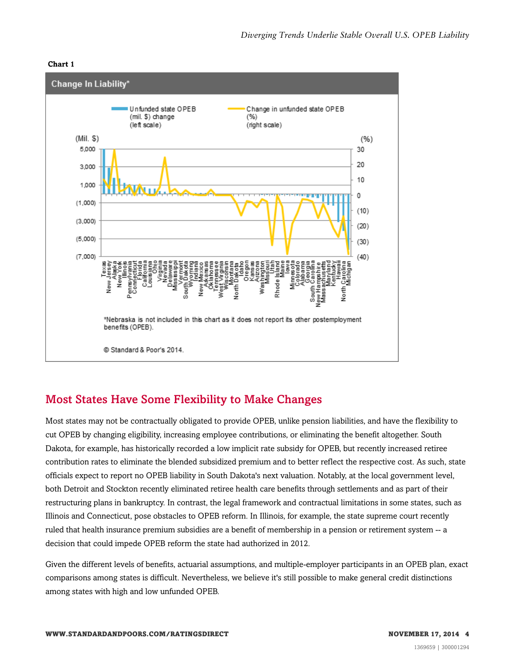#### **Chart 1**



## <span id="page-3-0"></span>Most States Have Some Flexibility to Make Changes

Most states may not be contractually obligated to provide OPEB, unlike pension liabilities, and have the flexibility to cut OPEB by changing eligibility, increasing employee contributions, or eliminating the benefit altogether. South Dakota, for example, has historically recorded a low implicit rate subsidy for OPEB, but recently increased retiree contribution rates to eliminate the blended subsidized premium and to better reflect the respective cost. As such, state officials expect to report no OPEB liability in South Dakota's next valuation. Notably, at the local government level, both Detroit and Stockton recently eliminated retiree health care benefits through settlements and as part of their restructuring plans in bankruptcy. In contrast, the legal framework and contractual limitations in some states, such as Illinois and Connecticut, pose obstacles to OPEB reform. In Illinois, for example, the state supreme court recently ruled that health insurance premium subsidies are a benefit of membership in a pension or retirement system -- a decision that could impede OPEB reform the state had authorized in 2012.

Given the different levels of benefits, actuarial assumptions, and multiple-employer participants in an OPEB plan, exact comparisons among states is difficult. Nevertheless, we believe it's still possible to make general credit distinctions among states with high and low unfunded OPEB.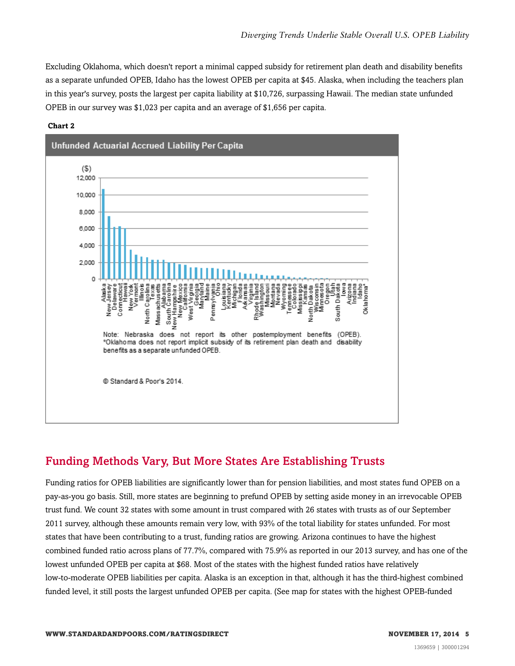Excluding Oklahoma, which doesn't report a minimal capped subsidy for retirement plan death and disability benefits as a separate unfunded OPEB, Idaho has the lowest OPEB per capita at \$45. Alaska, when including the teachers plan in this year's survey, posts the largest per capita liability at \$10,726, surpassing Hawaii. The median state unfunded OPEB in our survey was \$1,023 per capita and an average of \$1,656 per capita.



#### **Chart 2**

## <span id="page-4-0"></span>Funding Methods Vary, But More States Are Establishing Trusts

Funding ratios for OPEB liabilities are significantly lower than for pension liabilities, and most states fund OPEB on a pay-as-you go basis. Still, more states are beginning to prefund OPEB by setting aside money in an irrevocable OPEB trust fund. We count 32 states with some amount in trust compared with 26 states with trusts as of our September 2011 survey, although these amounts remain very low, with 93% of the total liability for states unfunded. For most states that have been contributing to a trust, funding ratios are growing. Arizona continues to have the highest combined funded ratio across plans of 77.7%, compared with 75.9% as reported in our 2013 survey, and has one of the lowest unfunded OPEB per capita at \$68. Most of the states with the highest funded ratios have relatively low-to-moderate OPEB liabilities per capita. Alaska is an exception in that, although it has the third-highest combined funded level, it still posts the largest unfunded OPEB per capita. (See map for states with the highest OPEB-funded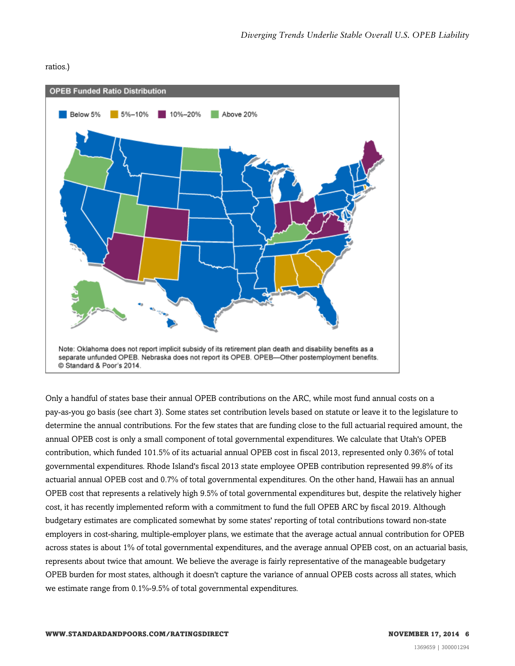#### ratios.)



Only a handful of states base their annual OPEB contributions on the ARC, while most fund annual costs on a pay-as-you go basis (see chart 3). Some states set contribution levels based on statute or leave it to the legislature to determine the annual contributions. For the few states that are funding close to the full actuarial required amount, the annual OPEB cost is only a small component of total governmental expenditures. We calculate that Utah's OPEB contribution, which funded 101.5% of its actuarial annual OPEB cost in fiscal 2013, represented only 0.36% of total governmental expenditures. Rhode Island's fiscal 2013 state employee OPEB contribution represented 99.8% of its actuarial annual OPEB cost and 0.7% of total governmental expenditures. On the other hand, Hawaii has an annual OPEB cost that represents a relatively high 9.5% of total governmental expenditures but, despite the relatively higher cost, it has recently implemented reform with a commitment to fund the full OPEB ARC by fiscal 2019. Although budgetary estimates are complicated somewhat by some states' reporting of total contributions toward non-state employers in cost-sharing, multiple-employer plans, we estimate that the average actual annual contribution for OPEB across states is about 1% of total governmental expenditures, and the average annual OPEB cost, on an actuarial basis, represents about twice that amount. We believe the average is fairly representative of the manageable budgetary OPEB burden for most states, although it doesn't capture the variance of annual OPEB costs across all states, which we estimate range from 0.1%-9.5% of total governmental expenditures.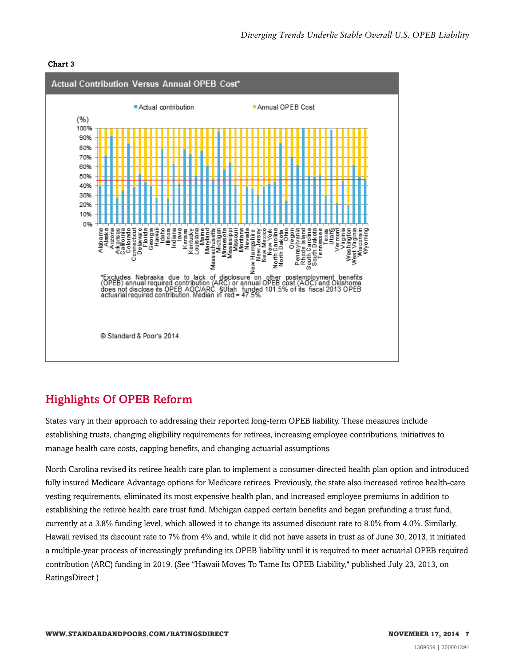#### **Chart 3**



## <span id="page-6-0"></span>Highlights Of OPEB Reform

States vary in their approach to addressing their reported long-term OPEB liability. These measures include establishing trusts, changing eligibility requirements for retirees, increasing employee contributions, initiatives to manage health care costs, capping benefits, and changing actuarial assumptions.

North Carolina revised its retiree health care plan to implement a consumer-directed health plan option and introduced fully insured Medicare Advantage options for Medicare retirees. Previously, the state also increased retiree health-care vesting requirements, eliminated its most expensive health plan, and increased employee premiums in addition to establishing the retiree health care trust fund. Michigan capped certain benefits and began prefunding a trust fund, currently at a 3.8% funding level, which allowed it to change its assumed discount rate to 8.0% from 4.0%. Similarly, Hawaii revised its discount rate to 7% from 4% and, while it did not have assets in trust as of June 30, 2013, it initiated a multiple-year process of increasingly prefunding its OPEB liability until it is required to meet actuarial OPEB required contribution (ARC) funding in 2019. (See "Hawaii Moves To Tame Its OPEB Liability," published July 23, 2013, on RatingsDirect.)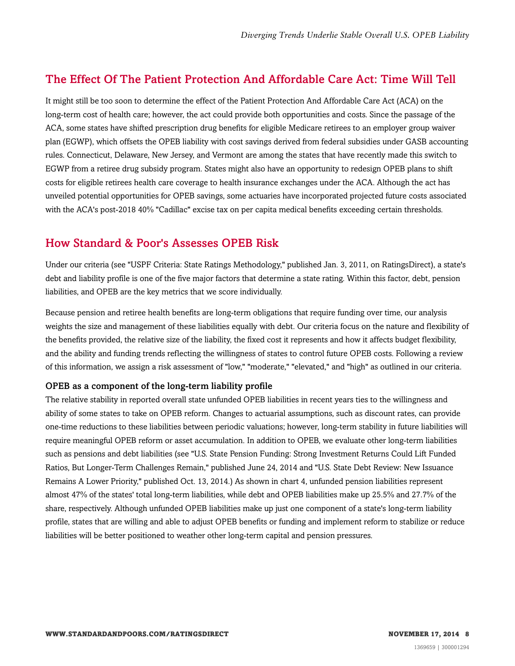## <span id="page-7-0"></span>The Effect Of The Patient Protection And Affordable Care Act: Time Will Tell

It might still be too soon to determine the effect of the Patient Protection And Affordable Care Act (ACA) on the long-term cost of health care; however, the act could provide both opportunities and costs. Since the passage of the ACA, some states have shifted prescription drug benefits for eligible Medicare retirees to an employer group waiver plan (EGWP), which offsets the OPEB liability with cost savings derived from federal subsidies under GASB accounting rules. Connecticut, Delaware, New Jersey, and Vermont are among the states that have recently made this switch to EGWP from a retiree drug subsidy program. States might also have an opportunity to redesign OPEB plans to shift costs for eligible retirees health care coverage to health insurance exchanges under the ACA. Although the act has unveiled potential opportunities for OPEB savings, some actuaries have incorporated projected future costs associated with the ACA's post-2018 40% "Cadillac" excise tax on per capita medical benefits exceeding certain thresholds.

### <span id="page-7-1"></span>How Standard & Poor's Assesses OPEB Risk

Under our criteria (see "USPF Criteria: State Ratings Methodology," published Jan. 3, 2011, on RatingsDirect), a state's debt and liability profile is one of the five major factors that determine a state rating. Within this factor, debt, pension liabilities, and OPEB are the key metrics that we score individually.

Because pension and retiree health benefits are long-term obligations that require funding over time, our analysis weights the size and management of these liabilities equally with debt. Our criteria focus on the nature and flexibility of the benefits provided, the relative size of the liability, the fixed cost it represents and how it affects budget flexibility, and the ability and funding trends reflecting the willingness of states to control future OPEB costs. Following a review of this information, we assign a risk assessment of "low," "moderate," "elevated," and "high" as outlined in our criteria.

#### OPEB as a component of the long-term liability profile

The relative stability in reported overall state unfunded OPEB liabilities in recent years ties to the willingness and ability of some states to take on OPEB reform. Changes to actuarial assumptions, such as discount rates, can provide one-time reductions to these liabilities between periodic valuations; however, long-term stability in future liabilities will require meaningful OPEB reform or asset accumulation. In addition to OPEB, we evaluate other long-term liabilities such as pensions and debt liabilities (see "U.S. State Pension Funding: Strong Investment Returns Could Lift Funded Ratios, But Longer-Term Challenges Remain," published June 24, 2014 and "U.S. State Debt Review: New Issuance Remains A Lower Priority," published Oct. 13, 2014.) As shown in chart 4, unfunded pension liabilities represent almost 47% of the states' total long-term liabilities, while debt and OPEB liabilities make up 25.5% and 27.7% of the share, respectively. Although unfunded OPEB liabilities make up just one component of a state's long-term liability profile, states that are willing and able to adjust OPEB benefits or funding and implement reform to stabilize or reduce liabilities will be better positioned to weather other long-term capital and pension pressures.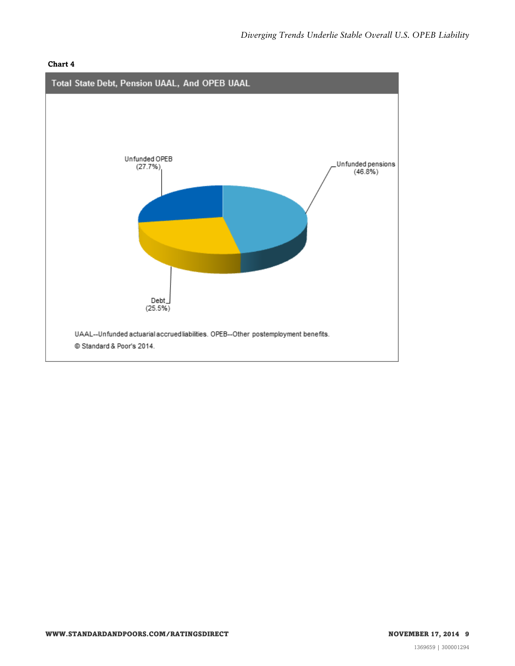#### **Chart 4**

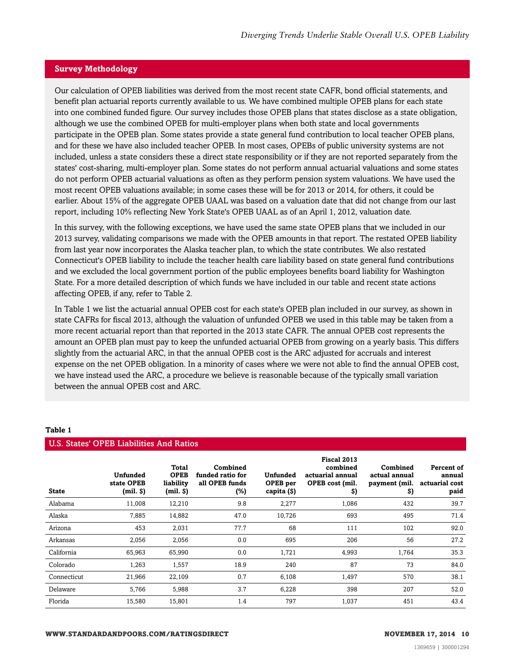#### **Survey Methodology**

Our calculation of OPEB liabilities was derived from the most recent state CAFR, bond official statements, and benefit plan actuarial reports currently available to us. We have combined multiple OPEB plans for each state into one combined funded figure. Our survey includes those OPEB plans that states disclose as a state obligation, although we use the combined OPEB for multi-employer plans when both state and local governments participate in the OPEB plan. Some states provide a state general fund contribution to local teacher OPEB plans, and for these we have also included teacher OPEB. In most cases, OPEBs of public university systems are not included, unless a state considers these a direct state responsibility or if they are not reported separately from the states' cost-sharing, multi-employer plan. Some states do not perform annual actuarial valuations and some states do not perform OPEB actuarial valuations as often as they perform pension system valuations. We have used the most recent OPEB valuations available; in some cases these will be for 2013 or 2014, for others, it could be earlier. About 15% of the aggregate OPEB UAAL was based on a valuation date that did not change from our last report, including 10% reflecting New York State's OPEB UAAL as of an April 1, 2012, valuation date.

In this survey, with the following exceptions, we have used the same state OPEB plans that we included in our 2013 survey, validating comparisons we made with the OPEB amounts in that report. The restated OPEB liability from last year now incorporates the Alaska teacher plan, to which the state contributes. We also restated Connecticut's OPEB liability to include the teacher health care liability based on state general fund contributions and we excluded the local government portion of the public employees benefits board liability for Washington State. For a more detailed description of which funds we have included in our table and recent state actions affecting OPEB, if any, refer to Table 2.

In Table 1 we list the actuarial annual OPEB cost for each state's OPEB plan included in our survey, as shown in state CAFRs for fiscal 2013, although the valuation of unfunded OPEB we used in this table may be taken from a more recent actuarial report than that reported in the 2013 state CAFR. The annual OPEB cost represents the amount an OPEB plan must pay to keep the unfunded actuarial OPEB from growing on a yearly basis. This differs slightly from the actuarial ARC, in that the annual OPEB cost is the ARC adjusted for accruals and interest expense on the net OPEB obligation. In a minority of cases where we were not able to find the annual OPEB cost, we have instead used the ARC, a procedure we believe is reasonable because of the typically small variation between the annual OPEB cost and ARC.

| U.S. States' OPEB Liabilities And Ratios |                                                |                                                           |                                                       |                                     |                                                                      |                                                  |                                                |  |  |  |
|------------------------------------------|------------------------------------------------|-----------------------------------------------------------|-------------------------------------------------------|-------------------------------------|----------------------------------------------------------------------|--------------------------------------------------|------------------------------------------------|--|--|--|
| <b>State</b>                             | <b>Unfunded</b><br>state OPEB<br>$(mil.$ $\$ ) | <b>Total</b><br><b>OPEB</b><br>liability<br>$(mil.$ $\$ ) | Combined<br>funded ratio for<br>all OPEB funds<br>(%) | Unfunded<br>OPEB per<br>capita (\$) | Fiscal 2013<br>combined<br>actuarial annual<br>OPEB cost (mil.<br>S) | Combined<br>actual annual<br>payment (mil.<br>S) | Percent of<br>annual<br>actuarial cost<br>paid |  |  |  |
| Alabama                                  | 11,008                                         | 12,210                                                    | 9.8                                                   | 2,277                               | 1,086                                                                | 432                                              | 39.7                                           |  |  |  |
| Alaska                                   | 7,885                                          | 14,882                                                    | 47.0                                                  | 10,726                              | 693                                                                  | 495                                              | 71.4                                           |  |  |  |
| Arizona                                  | 453                                            | 2,031                                                     | 77.7                                                  | 68                                  | 111                                                                  | 102                                              | 92.0                                           |  |  |  |
| Arkansas                                 | 2,056                                          | 2,056                                                     | 0.0                                                   | 695                                 | 206                                                                  | 56                                               | 27.2                                           |  |  |  |
| California                               | 65,963                                         | 65,990                                                    | 0.0                                                   | 1,721                               | 4,993                                                                | 1,764                                            | 35.3                                           |  |  |  |
| Colorado                                 | 1,263                                          | 1,557                                                     | 18.9                                                  | 240                                 | 87                                                                   | 73                                               | 84.0                                           |  |  |  |
| Connecticut                              | 21,966                                         | 22,109                                                    | 0.7                                                   | 6,108                               | 1,497                                                                | 570                                              | 38.1                                           |  |  |  |
| Delaware                                 | 5,766                                          | 5,988                                                     | 3.7                                                   | 6,228                               | 398                                                                  | 207                                              | 52.0                                           |  |  |  |
| Florida                                  | 15,580                                         | 15,801                                                    | 1.4                                                   | 797                                 | 1,037                                                                | 451                                              | 43.4                                           |  |  |  |

#### **Table 1**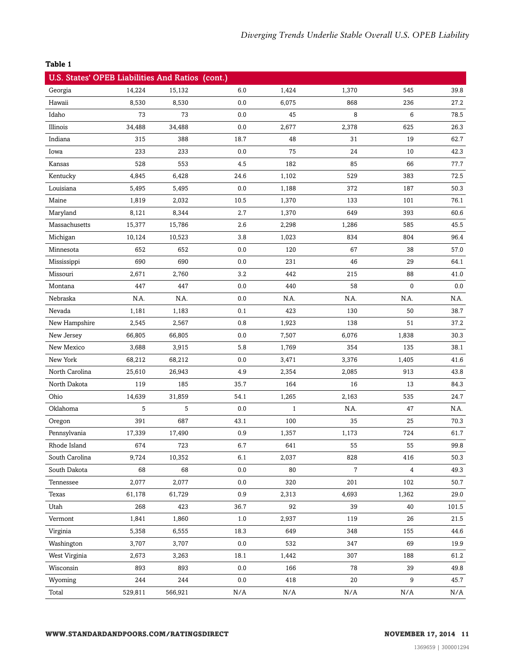| U.S. States' OPEB Liabilities And Ratios (cont.) |         |         |         |              |                |                |       |
|--------------------------------------------------|---------|---------|---------|--------------|----------------|----------------|-------|
| Georgia                                          | 14,224  | 15,132  | 6.0     | 1,424        | 1,370          | 545            | 39.8  |
| Hawaii                                           | 8,530   | 8,530   | $0.0\,$ | 6,075        | 868            | 236            | 27.2  |
| Idaho                                            | 73      | 73      | 0.0     | 45           | 8              | 6              | 78.5  |
| Illinois                                         | 34,488  | 34,488  | 0.0     | 2,677        | 2,378          | 625            | 26.3  |
| Indiana                                          | 315     | 388     | 18.7    | 48           | 31             | 19             | 62.7  |
| Iowa                                             | 233     | 233     | 0.0     | 75           | 24             | 10             | 42.3  |
| Kansas                                           | 528     | 553     | 4.5     | 182          | 85             | 66             | 77.7  |
| Kentucky                                         | 4,845   | 6,428   | 24.6    | 1,102        | 529            | 383            | 72.5  |
| Louisiana                                        | 5,495   | 5,495   | 0.0     | 1,188        | 372            | 187            | 50.3  |
| Maine                                            | 1,819   | 2,032   | 10.5    | 1,370        | 133            | 101            | 76.1  |
| Maryland                                         | 8,121   | 8,344   | 2.7     | 1,370        | 649            | 393            | 60.6  |
| Massachusetts                                    | 15,377  | 15,786  | 2.6     | 2,298        | 1,286          | 585            | 45.5  |
| Michigan                                         | 10,124  | 10,523  | 3.8     | 1,023        | 834            | 804            | 96.4  |
| Minnesota                                        | 652     | 652     | 0.0     | 120          | 67             | 38             | 57.0  |
| Mississippi                                      | 690     | 690     | 0.0     | 231          | 46             | 29             | 64.1  |
| Missouri                                         | 2,671   | 2,760   | 3.2     | 442          | 215            | 88             | 41.0  |
| Montana                                          | 447     | 447     | 0.0     | 440          | 58             | $\mathbf{0}$   | 0.0   |
| Nebraska                                         | N.A.    | N.A.    | 0.0     | N.A.         | N.A.           | N.A.           | N.A.  |
| Nevada                                           | 1,181   | 1,183   | 0.1     | 423          | 130            | 50             | 38.7  |
| New Hampshire                                    | 2,545   | 2,567   | 0.8     | 1,923        | 138            | 51             | 37.2  |
| New Jersey                                       | 66,805  | 66,805  | 0.0     | 7,507        | 6,076          | 1,838          | 30.3  |
| New Mexico                                       | 3,688   | 3,915   | 5.8     | 1,769        | 354            | 135            | 38.1  |
| New York                                         | 68,212  | 68,212  | 0.0     | 3,471        | 3,376          | 1,405          | 41.6  |
| North Carolina                                   | 25,610  | 26,943  | 4.9     | 2,354        | 2,085          | 913            | 43.8  |
| North Dakota                                     | 119     | 185     | 35.7    | 164          | 16             | 13             | 84.3  |
| Ohio                                             | 14,639  | 31,859  | 54.1    | 1,265        | 2,163          | 535            | 24.7  |
| Oklahoma                                         | 5       | 5       | 0.0     | $\mathbf{1}$ | N.A.           | 47             | N.A.  |
| Oregon                                           | 391     | 687     | 43.1    | 100          | 35             | 25             | 70.3  |
| Pennsylvania                                     | 17,339  | 17,490  | 0.9     | 1,357        | 1,173          | 724            | 61.7  |
| Rhode Island                                     | 674     | 723     | 6.7     | 641          | 55             | 55             | 99.8  |
| South Carolina                                   | 9,724   | 10,352  | 6.1     | 2,037        | 828            | 416            | 50.3  |
| South Dakota                                     | 68      | 68      | 0.0     | 80           | $\overline{7}$ | $\overline{4}$ | 49.3  |
| Tennessee                                        | 2,077   | 2,077   | 0.0     | 320          | 201            | 102            | 50.7  |
| Texas                                            | 61,178  | 61,729  | 0.9     | 2,313        | 4,693          | 1,362          | 29.0  |
| Utah                                             | 268     | 423     | 36.7    | 92           | 39             | 40             | 101.5 |
| Vermont                                          | 1,841   | 1,860   | $1.0\,$ | 2,937        | 119            | 26             | 21.5  |
| Virginia                                         | 5,358   | 6,555   | 18.3    | 649          | 348            | 155            | 44.6  |
| Washington                                       | 3,707   | 3,707   | 0.0     | 532          | 347            | 69             | 19.9  |
| West Virginia                                    | 2,673   | 3,263   | 18.1    | 1,442        | 307            | 188            | 61.2  |
| Wisconsin                                        | 893     | 893     | 0.0     | 166          | 78             | 39             | 49.8  |
| Wyoming                                          | 244     | 244     | 0.0     | 418          | 20             | 9              | 45.7  |
| Total                                            | 529,811 | 566,921 | N/A     | N/A          | N/A            | N/A            | N/A   |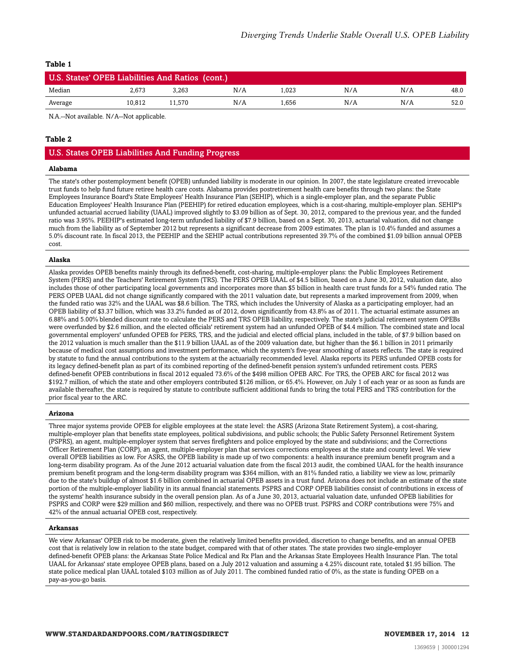| U.S. States' OPEB Liabilities And Ratios (cont.) |        |       |     |      |     |     |      |  |
|--------------------------------------------------|--------|-------|-----|------|-----|-----|------|--|
| Median                                           | 2.673  | 3.263 | N/A | .023 | N/A | N/A | 48.0 |  |
| Average                                          | 10.812 | 1.570 | N/A | .656 | N/A | N/A | 52.0 |  |

N.A.--Not available. N/A--Not applicable.

#### **Table 2**

#### U.S. States OPEB Liabilities And Funding Progress

#### **Alabama**

The state's other postemployment benefit (OPEB) unfunded liability is moderate in our opinion. In 2007, the state legislature created irrevocable trust funds to help fund future retiree health care costs. Alabama provides postretirement health care benefits through two plans: the State Employees Insurance Board's State Employees' Health Insurance Plan (SEHIP), which is a single-employer plan, and the separate Public Education Employees' Health Insurance Plan (PEEHIP) for retired education employees, which is a cost-sharing, multiple-employer plan. SEHIP's unfunded actuarial accrued liability (UAAL) improved slightly to \$3.09 billion as of Sept. 30, 2012, compared to the previous year, and the funded ratio was 3.95%. PEEHIP's estimated long-term unfunded liability of \$7.9 billion, based on a Sept. 30, 2013, actuarial valuation, did not change much from the liability as of September 2012 but represents a significant decrease from 2009 estimates. The plan is 10.4% funded and assumes a 5.0% discount rate. In fiscal 2013, the PEEHIP and the SEHIP actual contributions represented 39.7% of the combined \$1.09 billion annual OPEB cost.

#### **Alaska**

Alaska provides OPEB benefits mainly through its defined-benefit, cost-sharing, multiple-employer plans: the Public Employees Retirement System (PERS) and the Teachers' Retirement System (TRS). The PERS OPEB UAAL of \$4.5 billion, based on a June 30, 2012, valuation date, also includes those of other participating local governments and incorporates more than \$5 billion in health care trust funds for a 54% funded ratio. The PERS OPEB UAAL did not change significantly compared with the 2011 valuation date, but represents a marked improvement from 2009, when the funded ratio was 32% and the UAAL was \$8.6 billion. The TRS, which includes the University of Alaska as a participating employer, had an OPEB liability of \$3.37 billion, which was 33.2% funded as of 2012, down significantly from 43.8% as of 2011. The actuarial estimate assumes an 6.88% and 5.00% blended discount rate to calculate the PERS and TRS OPEB liability, respectively. The state's judicial retirement system OPEBs were overfunded by \$2.6 million, and the elected officials' retirement system had an unfunded OPEB of \$4.4 million. The combined state and local governmental employers' unfunded OPEB for PERS, TRS, and the judicial and elected official plans, included in the table, of \$7.9 billion based on the 2012 valuation is much smaller than the \$11.9 billion UAAL as of the 2009 valuation date, but higher than the \$6.1 billion in 2011 primarily because of medical cost assumptions and investment performance, which the system's five-year smoothing of assets reflects. The state is required by statute to fund the annual contributions to the system at the actuarially recommended level. Alaska reports its PERS unfunded OPEB costs for its legacy defined-benefit plan as part of its combined reporting of the defined-benefit pension system's unfunded retirement costs. PERS defined-benefit OPEB contributions in fiscal 2012 equaled 73.6% of the \$498 million OPEB ARC. For TRS, the OPEB ARC for fiscal 2012 was \$192.7 million, of which the state and other employers contributed \$126 million, or 65.4%. However, on July 1 of each year or as soon as funds are available thereafter, the state is required by statute to contribute sufficient additional funds to bring the total PERS and TRS contribution for the prior fiscal year to the ARC.

#### **Arizona**

Three major systems provide OPEB for eligible employees at the state level: the ASRS (Arizona State Retirement System), a cost-sharing, multiple-employer plan that benefits state employees, political subdivisions, and public schools; the Public Safety Personnel Retirement System (PSPRS), an agent, multiple-employer system that serves firefighters and police employed by the state and subdivisions; and the Corrections Officer Retirement Plan (CORP), an agent, multiple-employer plan that services corrections employees at the state and county level. We view overall OPEB liabilities as low. For ASRS, the OPEB liability is made up of two components: a health insurance premium benefit program and a long-term disability program. As of the June 2012 actuarial valuation date from the fiscal 2013 audit, the combined UAAL for the health insurance premium benefit program and the long-term disability program was \$364 million, with an 81% funded ratio, a liability we view as low, primarily due to the state's buildup of almost \$1.6 billion combined in actuarial OPEB assets in a trust fund. Arizona does not include an estimate of the state portion of the multiple-employer liability in its annual financial statements. PSPRS and CORP OPEB liabilities consist of contributions in excess of the systems' health insurance subsidy in the overall pension plan. As of a June 30, 2013, actuarial valuation date, unfunded OPEB liabilities for PSPRS and CORP were \$29 million and \$60 million, respectively, and there was no OPEB trust. PSPRS and CORP contributions were 75% and 42% of the annual actuarial OPEB cost, respectively.

#### **Arkansas**

We view Arkansas' OPEB risk to be moderate, given the relatively limited benefits provided, discretion to change benefits, and an annual OPEB cost that is relatively low in relation to the state budget, compared with that of other states. The state provides two single-employer defined-benefit OPEB plans: the Arkansas State Police Medical and Rx Plan and the Arkansas State Employees Health Insurance Plan. The total UAAL for Arkansas' state employee OPEB plans, based on a July 2012 valuation and assuming a 4.25% discount rate, totaled \$1.95 billion. The state police medical plan UAAL totaled \$103 million as of July 2011. The combined funded ratio of 0%, as the state is funding OPEB on a pay-as-you-go basis.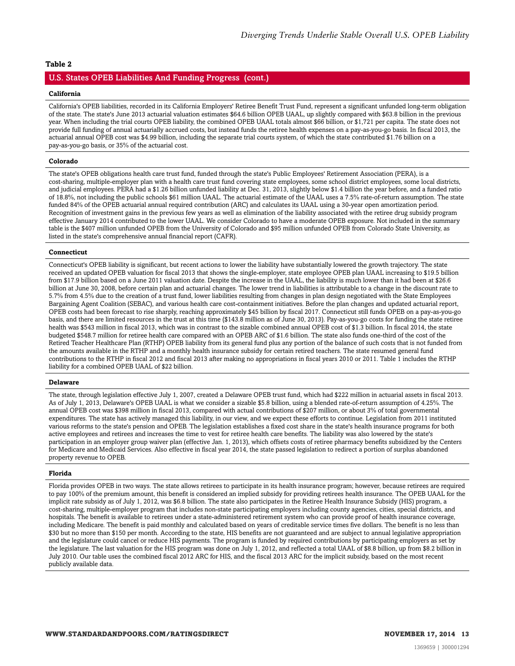#### U.S. States OPEB Liabilities And Funding Progress (cont.)

#### **California**

California's OPEB liabilities, recorded in its California Employers' Retiree Benefit Trust Fund, represent a significant unfunded long-term obligation of the state. The state's June 2013 actuarial valuation estimates \$64.6 billion OPEB UAAL, up slightly compared with \$63.8 billion in the previous year. When including the trial courts OPEB liability, the combined OPEB UAAL totals almost \$66 billion, or \$1,721 per capita. The state does not provide full funding of annual actuarially accrued costs, but instead funds the retiree health expenses on a pay-as-you-go basis. In fiscal 2013, the actuarial annual OPEB cost was \$4.99 billion, including the separate trial courts system, of which the state contributed \$1.76 billion on a pay-as-you-go basis, or 35% of the actuarial cost.

#### **Colorado**

The state's OPEB obligations health care trust fund, funded through the state's Public Employees' Retirement Association (PERA), is a cost-sharing, multiple-employer plan with a health care trust fund covering state employees, some school district employees, some local districts, and judicial employees. PERA had a \$1.26 billion unfunded liability at Dec. 31, 2013, slightly below \$1.4 billion the year before, and a funded ratio of 18.8%, not including the public schools \$61 million UAAL. The actuarial estimate of the UAAL uses a 7.5% rate-of-return assumption. The state funded 84% of the OPEB actuarial annual required contribution (ARC) and calculates its UAAL using a 30-year open amortization period. Recognition of investment gains in the previous few years as well as elimination of the liability associated with the retiree drug subsidy program effective January 2014 contributed to the lower UAAL. We consider Colorado to have a moderate OPEB exposure. Not included in the summary table is the \$407 million unfunded OPEB from the University of Colorado and \$95 million unfunded OPEB from Colorado State University, as listed in the state's comprehensive annual financial report (CAFR).

#### **Connecticut**

Connecticut's OPEB liability is significant, but recent actions to lower the liability have substantially lowered the growth trajectory. The state received an updated OPEB valuation for fiscal 2013 that shows the single-employer, state employee OPEB plan UAAL increasing to \$19.5 billion from \$17.9 billion based on a June 2011 valuation date. Despite the increase in the UAAL, the liability is much lower than it had been at \$26.6 billion at June 30, 2008, before certain plan and actuarial changes. The lower trend in liabilities is attributable to a change in the discount rate to 5.7% from 4.5% due to the creation of a trust fund, lower liabilities resulting from changes in plan design negotiated with the State Employees Bargaining Agent Coalition (SEBAC), and various health care cost-containment initiatives. Before the plan changes and updated actuarial report, OPEB costs had been forecast to rise sharply, reaching approximately \$45 billion by fiscal 2017. Connecticut still funds OPEB on a pay-as-you-go basis, and there are limited resources in the trust at this time (\$143.8 million as of June 30, 2013). Pay-as-you-go costs for funding the state retiree health was \$543 million in fiscal 2013, which was in contrast to the sizable combined annual OPEB cost of \$1.3 billion. In fiscal 2014, the state budgeted \$548.7 million for retiree health care compared with an OPEB ARC of \$1.6 billion. The state also funds one-third of the cost of the Retired Teacher Healthcare Plan (RTHP) OPEB liability from its general fund plus any portion of the balance of such costs that is not funded from the amounts available in the RTHP and a monthly health insurance subsidy for certain retired teachers. The state resumed general fund contributions to the RTHP in fiscal 2012 and fiscal 2013 after making no appropriations in fiscal years 2010 or 2011. Table 1 includes the RTHP liability for a combined OPEB UAAL of \$22 billion.

#### **Delaware**

The state, through legislation effective July 1, 2007, created a Delaware OPEB trust fund, which had \$222 million in actuarial assets in fiscal 2013. As of July 1, 2013, Delaware's OPEB UAAL is what we consider a sizable \$5.8 billion, using a blended rate-of-return assumption of 4.25%. The annual OPEB cost was \$398 million in fiscal 2013, compared with actual contributions of \$207 million, or about 3% of total governmental expenditures. The state has actively managed this liability, in our view, and we expect these efforts to continue. Legislation from 2011 instituted various reforms to the state's pension and OPEB. The legislation establishes a fixed cost share in the state's health insurance programs for both active employees and retirees and increases the time to vest for retiree health care benefits. The liability was also lowered by the state's participation in an employer group waiver plan (effective Jan. 1, 2013), which offsets costs of retiree pharmacy benefits subsidized by the Centers for Medicare and Medicaid Services. Also effective in fiscal year 2014, the state passed legislation to redirect a portion of surplus abandoned property revenue to OPEB.

#### **Florida**

Florida provides OPEB in two ways. The state allows retirees to participate in its health insurance program; however, because retirees are required to pay 100% of the premium amount, this benefit is considered an implied subsidy for providing retirees health insurance. The OPEB UAAL for the implicit rate subsidy as of July 1, 2012, was \$6.8 billion. The state also participates in the Retiree Health Insurance Subsidy (HIS) program, a cost-sharing, multiple-employer program that includes non-state participating employers including county agencies, cities, special districts, and hospitals. The benefit is available to retirees under a state-administered retirement system who can provide proof of health insurance coverage, including Medicare. The benefit is paid monthly and calculated based on years of creditable service times five dollars. The benefit is no less than \$30 but no more than \$150 per month. According to the state, HIS benefits are not guaranteed and are subject to annual legislative appropriation and the legislature could cancel or reduce HIS payments. The program is funded by required contributions by participating employers as set by the legislature. The last valuation for the HIS program was done on July 1, 2012, and reflected a total UAAL of \$8.8 billion, up from \$8.2 billion in July 2010. Our table uses the combined fiscal 2012 ARC for HIS, and the fiscal 2013 ARC for the implicit subsidy, based on the most recent publicly available data.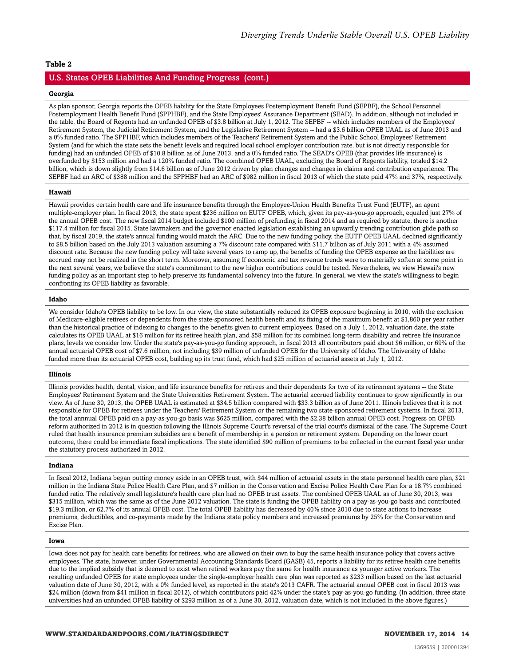#### U.S. States OPEB Liabilities And Funding Progress (cont.)

#### **Georgia**

As plan sponsor, Georgia reports the OPEB liability for the State Employees Postemployment Benefit Fund (SEPBF), the School Personnel Postemployment Health Benefit Fund (SPPHBF), and the State Employees' Assurance Department (SEAD). In addition, although not included in the table, the Board of Regents had an unfunded OPEB of \$3.8 billion at July 1, 2012. The SEPBF -- which includes members of the Employees' Retirement System, the Judicial Retirement System, and the Legislative Retirement System -- had a \$3.6 billion OPEB UAAL as of June 2013 and a 0% funded ratio. The SPPHBF, which includes members of the Teachers' Retirement System and the Public School Employees' Retirement System (and for which the state sets the benefit levels and required local school employer contribution rate, but is not directly responsible for funding) had an unfunded OPEB of \$10.8 billion as of June 2013, and a 0% funded ratio. The SEAD's OPEB (that provides life insurance) is overfunded by \$153 million and had a 120% funded ratio. The combined OPEB UAAL, excluding the Board of Regents liability, totaled \$14.2 billion, which is down slightly from \$14.6 billion as of June 2012 driven by plan changes and changes in claims and contribution experience. The SEPBF had an ARC of \$388 million and the SPPHBF had an ARC of \$982 million in fiscal 2013 of which the state paid 47% and 37%, respectively.

#### **Hawaii**

Hawaii provides certain health care and life insurance benefits through the Employee-Union Health Benefits Trust Fund (EUTF), an agent multiple-employer plan. In fiscal 2013, the state spent \$236 million on EUTF OPEB, which, given its pay-as-you-go approach, equaled just 27% of the annual OPEB cost. The new fiscal 2014 budget included \$100 million of prefunding in fiscal 2014 and as required by statute, there is another \$117.4 million for fiscal 2015. State lawmakers and the governor enacted legislation establishing an upwardly trending contribution glide path so that, by fiscal 2019, the state's annual funding would match the ARC. Due to the new funding policy, the EUTF OPEB UAAL declined significantly to \$8.5 billion based on the July 2013 valuation assuming a 7% discount rate compared with \$11.7 billion as of July 2011 with a 4% assumed discount rate. Because the new funding policy will take several years to ramp up, the benefits of funding the OPEB expense as the liabilities are accrued may not be realized in the short term. Moreover, assuming If economic and tax revenue trends were to materially soften at some point in the next several years, we believe the state's commitment to the new higher contributions could be tested. Nevertheless, we view Hawaii's new funding policy as an important step to help preserve its fundamental solvency into the future. In general, we view the state's willingness to begin confronting its OPEB liability as favorable.

#### **Idaho**

We consider Idaho's OPEB liability to be low. In our view, the state substantially reduced its OPEB exposure beginning in 2010, with the exclusion of Medicare-eligible retirees or dependents from the state-sponsored health benefit and its fixing of the maximum benefit at \$1,860 per year rather than the historical practice of indexing to changes to the benefits given to current employees. Based on a July 1, 2012, valuation date, the state calculates its OPEB UAAL at \$16 million for its retiree health plan, and \$58 million for its combined long-term disability and retiree life insurance plans, levels we consider low. Under the state's pay-as-you-go funding approach, in fiscal 2013 all contributors paid about \$6 million, or 69% of the annual actuarial OPEB cost of \$7.6 million, not including \$39 million of unfunded OPEB for the University of Idaho. The University of Idaho funded more than its actuarial OPEB cost, building up its trust fund, which had \$25 million of actuarial assets at July 1, 2012.

#### **Illinois**

Illinois provides health, dental, vision, and life insurance benefits for retirees and their dependents for two of its retirement systems -- the State Employees' Retirement System and the State Universities Retirement System. The actuarial accrued liability continues to grow significantly in our view. As of June 30, 2013, the OPEB UAAL is estimated at \$34.5 billion compared with \$33.3 billion as of June 2011. Illinois believes that it is not responsible for OPEB for retirees under the Teachers' Retirement System or the remaining two state-sponsored retirement systems. In fiscal 2013, the total annnual OPEB paid on a pay-as-you-go basis was \$625 million, compared with the \$2.38 billion annual OPEB cost. Progress on OPEB reform authorized in 2012 is in question following the Illinois Supreme Court's reversal of the trial court's dismissal of the case. The Supreme Court ruled that health insurance premium subsidies are a benefit of membership in a pension or retirement system. Depending on the lower court outcome, there could be immediate fiscal implications. The state identified \$90 million of premiums to be collected in the current fiscal year under the statutory process authorized in 2012.

#### **Indiana**

In fiscal 2012, Indiana began putting money aside in an OPEB trust, with \$44 million of actuarial assets in the state personnel health care plan, \$21 million in the Indiana State Police Health Care Plan, and \$7 million in the Conservation and Excise Police Health Care Plan for a 18.7% combined funded ratio. The relatively small legislature's health care plan had no OPEB trust assets. The combined OPEB UAAL as of June 30, 2013, was \$315 million, which was the same as of the June 2012 valuation. The state is funding the OPEB liability on a pay-as-you-go basis and contributed \$19.3 million, or 62.7% of its annual OPEB cost. The total OPEB liability has decreased by 40% since 2010 due to state actions to increase premiums, deductibles, and co-payments made by the Indiana state policy members and increased premiums by 25% for the Conservation and Excise Plan.

#### **Iowa**

Iowa does not pay for health care benefits for retirees, who are allowed on their own to buy the same health insurance policy that covers active employees. The state, however, under Governmental Accounting Standards Board (GASB) 45, reports a liability for its retiree health care benefits due to the implied subsidy that is deemed to exist when retired workers pay the same for health insurance as younger active workers. The resulting unfunded OPEB for state employees under the single-employer health care plan was reported as \$233 million based on the last actuarial valuation date of June 30, 2012, with a 0% funded level, as reported in the state's 2013 CAFR. The actuarial annual OPEB cost in fiscal 2013 was \$24 million (down from \$41 million in fiscal 2012), of which contributors paid 42% under the state's pay-as-you-go funding. (In addition, three state universities had an unfunded OPEB liability of \$293 million as of a June 30, 2012, valuation date, which is not included in the above figures.)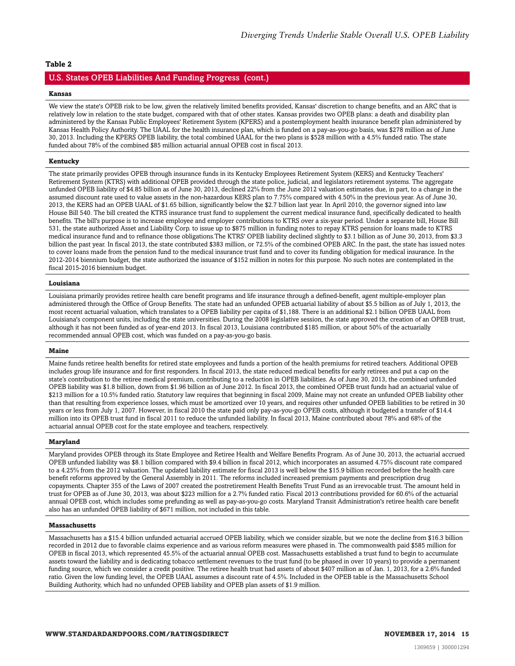#### U.S. States OPEB Liabilities And Funding Progress (cont.)

#### **Kansas**

We view the state's OPEB risk to be low, given the relatively limited benefits provided, Kansas' discretion to change benefits, and an ARC that is relatively low in relation to the state budget, compared with that of other states. Kansas provides two OPEB plans: a death and disability plan administered by the Kansas Public Employees' Retirement System (KPERS) and a postemployment health insurance benefit plan administered by Kansas Health Policy Authority. The UAAL for the health insurance plan, which is funded on a pay-as-you-go basis, was \$278 million as of June 30, 2013. Including the KPERS OPEB liability, the total combined UAAL for the two plans is \$528 million with a 4.5% funded ratio. The state funded about 78% of the combined \$85 million actuarial annual OPEB cost in fiscal 2013.

#### **Kentucky**

The state primarily provides OPEB through insurance funds in its Kentucky Employees Retirement System (KERS) and Kentucky Teachers' Retirement System (KTRS) with additional OPEB provided through the state police, judicial, and legislators retirement systems. The aggregate unfunded OPEB liability of \$4.85 billion as of June 30, 2013, declined 22% from the June 2012 valuation estimates due, in part, to a change in the assumed discount rate used to value assets in the non-hazardous KERS plan to 7.75% compared with 4.50% in the previous year. As of June 30, 2013, the KERS had an OPEB UAAL of \$1.65 billion, significantly below the \$2.7 billion last year. In April 2010, the governor signed into law House Bill 540. The bill created the KTRS insurance trust fund to supplement the current medical insurance fund, specifically dedicated to health benefits. The bill's purpose is to increase employee and employer contributions to KTRS over a six-year period. Under a separate bill, House Bill 531, the state authorized Asset and Liability Corp. to issue up to \$875 million in funding notes to repay KTRS pension for loans made to KTRS medical insurance fund and to refinance those obligations.The KTRS' OPEB liability declined slightly to \$3.1 billion as of June 30, 2013, from \$3.3 billion the past year. In fiscal 2013, the state contributed \$383 million, or 72.5% of the combined OPEB ARC. In the past, the state has issued notes to cover loans made from the pension fund to the medical insurance trust fund and to cover its funding obligation for medical insurance. In the 2012-2014 biennium budget, the state authorized the issuance of \$152 million in notes for this purpose. No such notes are contemplated in the fiscal 2015-2016 biennium budget.

#### **Louisiana**

Louisiana primarily provides retiree health care benefit programs and life insurance through a defined-benefit, agent multiple-employer plan administered through the Office of Group Benefits. The state had an unfunded OPEB actuarial liability of about \$5.5 billion as of July 1, 2013, the most recent actuarial valuation, which translates to a OPEB liability per capita of \$1,188. There is an additional \$2.1 billion OPEB UAAL from Louisiana's component units, including the state universities. During the 2008 legislative session, the state approved the creation of an OPEB trust, although it has not been funded as of year-end 2013. In fiscal 2013, Louisiana contributed \$185 million, or about 50% of the actuarially recommended annual OPEB cost, which was funded on a pay-as-you-go basis.

#### **Maine**

Maine funds retiree health benefits for retired state employees and funds a portion of the health premiums for retired teachers. Additional OPEB includes group life insurance and for first responders. In fiscal 2013, the state reduced medical benefits for early retirees and put a cap on the state's contribution to the retiree medical premium, contributing to a reduction in OPEB liabilities. As of June 30, 2013, the combined unfunded OPEB liability was \$1.8 billion, down from \$1.96 billion as of June 2012. In fiscal 2013, the combined OPEB trust funds had an actuarial value of \$213 million for a 10.5% funded ratio. Statutory law requires that beginning in fiscal 2009, Maine may not create an unfunded OPEB liability other than that resulting from experience losses, which must be amortized over 10 years, and requires other unfunded OPEB liabilities to be retired in 30 years or less from July 1, 2007. However, in fiscal 2010 the state paid only pay-as-you-go OPEB costs, although it budgeted a transfer of \$14.4 million into its OPEB trust fund in fiscal 2011 to reduce the unfunded liability. In fiscal 2013, Maine contributed about 78% and 68% of the actuarial annual OPEB cost for the state employee and teachers, respectively.

#### **Maryland**

Maryland provides OPEB through its State Employee and Retiree Health and Welfare Benefits Program. As of June 30, 2013, the actuarial accrued OPEB unfunded liability was \$8.1 billion compared with \$9.4 billion in fiscal 2012, which incorporates an assumed 4.75% discount rate compared to a 4.25% from the 2012 valuation. The updated liability estimate for fiscal 2013 is well below the \$15.9 billion recorded before the health care benefit reforms approved by the General Assembly in 2011. The reforms included increased premium payments and prescription drug copayments. Chapter 355 of the Laws of 2007 created the postretirement Health Benefits Trust Fund as an irrevocable trust. The amount held in trust for OPEB as of June 30, 2013, was about \$223 million for a 2.7% funded ratio. Fiscal 2013 contributions provided for 60.6% of the actuarial annual OPEB cost, which includes some prefunding as well as pay-as-you-go costs. Maryland Transit Administration's retiree health care benefit also has an unfunded OPEB liability of \$671 million, not included in this table.

#### **Massachusetts**

Massachusetts has a \$15.4 billion unfunded actuarial accrued OPEB liability, which we consider sizable, but we note the decline from \$16.3 billion recorded in 2012 due to favorable claims experience and as various reform measures were phased in. The commonwealth paid \$585 million for OPEB in fiscal 2013, which represented 45.5% of the actuarial annual OPEB cost. Massachusetts established a trust fund to begin to accumulate assets toward the liability and is dedicating tobacco settlement revenues to the trust fund (to be phased in over 10 years) to provide a permanent funding source, which we consider a credit positive. The retiree health trust had assets of about \$407 million as of Jan. 1, 2013, for a 2.6% funded ratio. Given the low funding level, the OPEB UAAL assumes a discount rate of 4.5%. Included in the OPEB table is the Massachusetts School Building Authority, which had no unfunded OPEB liability and OPEB plan assets of \$1.9 million.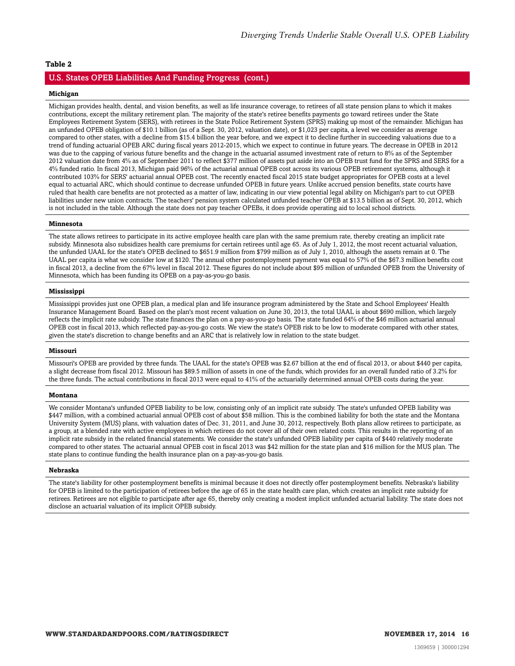#### U.S. States OPEB Liabilities And Funding Progress (cont.)

#### **Michigan**

Michigan provides health, dental, and vision benefits, as well as life insurance coverage, to retirees of all state pension plans to which it makes contributions, except the military retirement plan. The majority of the state's retiree benefits payments go toward retirees under the State Employees Retirement System (SERS), with retirees in the State Police Retirement System (SPRS) making up most of the remainder. Michigan has an unfunded OPEB obligation of \$10.1 billion (as of a Sept. 30, 2012, valuation date), or \$1,023 per capita, a level we consider as average compared to other states, with a decline from \$15.4 billion the year before, and we expect it to decline further in succeeding valuations due to a trend of funding actuarial OPEB ARC during fiscal years 2012-2015, which we expect to continue in future years. The decrease in OPEB in 2012 was due to the capping of various future benefits and the change in the actuarial assumed investment rate of return to 8% as of the September 2012 valuation date from 4% as of September 2011 to reflect \$377 million of assets put aside into an OPEB trust fund for the SPRS and SERS for a 4% funded ratio. In fiscal 2013, Michigan paid 96% of the actuarial annual OPEB cost across its various OPEB retirement systems, although it contributed 103% for SERS' actuarial annual OPEB cost. The recently enacted fiscal 2015 state budget appropriates for OPEB costs at a level equal to actuarial ARC, which should continue to decrease unfunded OPEB in future years. Unlike accrued pension benefits, state courts have ruled that health care benefits are not protected as a matter of law, indicating in our view potential legal ability on Michigan's part to cut OPEB liabilities under new union contracts. The teachers' pension system calculated unfunded teacher OPEB at \$13.5 billion as of Sept. 30, 2012, which is not included in the table. Although the state does not pay teacher OPEBs, it does provide operating aid to local school districts.

#### **Minnesota**

The state allows retirees to participate in its active employee health care plan with the same premium rate, thereby creating an implicit rate subsidy. Minnesota also subsidizes health care premiums for certain retirees until age 65. As of July 1, 2012, the most recent actuarial valuation, the unfunded UAAL for the state's OPEB declined to \$651.9 million from \$799 million as of July 1, 2010, although the assets remain at 0. The UAAL per capita is what we consider low at \$120. The annual other postemployment payment was equal to 57% of the \$67.3 million benefits cost in fiscal 2013, a decline from the 67% level in fiscal 2012. These figures do not include about \$95 million of unfunded OPEB from the University of Minnesota, which has been funding its OPEB on a pay-as-you-go basis.

#### **Mississippi**

Mississippi provides just one OPEB plan, a medical plan and life insurance program administered by the State and School Employees' Health Insurance Management Board. Based on the plan's most recent valuation on June 30, 2013, the total UAAL is about \$690 million, which largely reflects the implicit rate subsidy. The state finances the plan on a pay-as-you-go basis. The state funded 64% of the \$46 million actuarial annual OPEB cost in fiscal 2013, which reflected pay-as-you-go costs. We view the state's OPEB risk to be low to moderate compared with other states, given the state's discretion to change benefits and an ARC that is relatively low in relation to the state budget.

#### **Missouri**

Missouri's OPEB are provided by three funds. The UAAL for the state's OPEB was \$2.67 billion at the end of fiscal 2013, or about \$440 per capita, a slight decrease from fiscal 2012. Missouri has \$89.5 million of assets in one of the funds, which provides for an overall funded ratio of 3.2% for the three funds. The actual contributions in fiscal 2013 were equal to 41% of the actuarially determined annual OPEB costs during the year.

#### **Montana**

We consider Montana's unfunded OPEB liability to be low, consisting only of an implicit rate subsidy. The state's unfunded OPEB liability was \$447 million, with a combined actuarial annual OPEB cost of about \$58 million. This is the combined liability for both the state and the Montana University System (MUS) plans, with valuation dates of Dec. 31, 2011, and June 30, 2012, respectively. Both plans allow retirees to participate, as a group, at a blended rate with active employees in which retirees do not cover all of their own related costs. This results in the reporting of an implicit rate subsidy in the related financial statements. We consider the state's unfunded OPEB liability per capita of \$440 relatively moderate compared to other states. The actuarial annual OPEB cost in fiscal 2013 was \$42 million for the state plan and \$16 million for the MUS plan. The state plans to continue funding the health insurance plan on a pay-as-you-go basis.

#### **Nebraska**

The state's liability for other postemployment benefits is minimal because it does not directly offer postemployment benefits. Nebraska's liability for OPEB is limited to the participation of retirees before the age of 65 in the state health care plan, which creates an implicit rate subsidy for retirees. Retirees are not eligible to participate after age 65, thereby only creating a modest implicit unfunded actuarial liability. The state does not disclose an actuarial valuation of its implicit OPEB subsidy.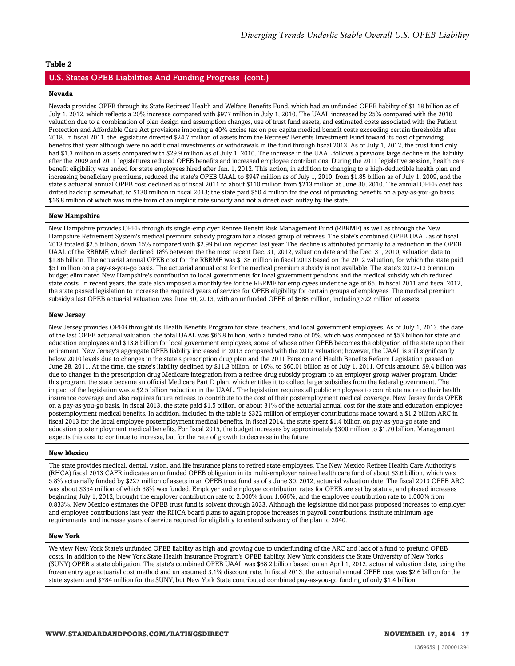#### U.S. States OPEB Liabilities And Funding Progress (cont.)

#### **Nevada**

Nevada provides OPEB through its State Retirees' Health and Welfare Benefits Fund, which had an unfunded OPEB liability of \$1.18 billion as of July 1, 2012, which reflects a 20% increase compared with \$977 million in July 1, 2010. The UAAL increased by 25% compared with the 2010 valuation due to a combination of plan design and assumption changes, use of trust fund assets, and estimated costs associated with the Patient Protection and Affordable Care Act provisions imposing a 40% excise tax on per capita medical benefit costs exceeding certain thresholds after 2018. In fiscal 2011, the legislature directed \$24.7 million of assets from the Retirees' Benefits Investment Fund toward its cost of providing benefits that year although were no additional investments or withdrawals in the fund through fiscal 2013. As of July 1, 2012, the trust fund only had \$1.3 million in assets compared with \$29.9 million as of July 1, 2010. The increase in the UAAL follows a previous large decline in the liability after the 2009 and 2011 legislatures reduced OPEB benefits and increased employee contributions. During the 2011 legislative session, health care benefit eligibility was ended for state employees hired after Jan. 1, 2012. This action, in addition to changing to a high-deductible health plan and increasing beneficiary premiums, reduced the state's OPEB UAAL to \$947 million as of July 1, 2010, from \$1.85 billion as of July 1, 2009, and the state's actuarial annual OPEB cost declined as of fiscal 2011 to about \$110 million from \$213 million at June 30, 2010. The annual OPEB cost has drifted back up somewhat, to \$130 million in fiscal 2013; the state paid \$50.4 million for the cost of providing benefits on a pay-as-you-go basis, \$16.8 million of which was in the form of an implicit rate subsidy and not a direct cash outlay by the state.

#### **New Hampshire**

New Hampshire provides OPEB through its single-employer Retiree Benefit Risk Management Fund (RBRMF) as well as through the New Hampshire Retirement System's medical premium subsidy program for a closed group of retirees. The state's combined OPEB UAAL as of fiscal 2013 totaled \$2.5 billion, down 15% compared with \$2.99 billion reported last year. The decline is attributed primarily to a reduction in the OPEB UAAL of the RBRMF, which declined 18% between the the most recent Dec. 31, 2012, valuation date and the Dec. 31, 2010, valuation date to \$1.86 billion. The actuarial annual OPEB cost for the RBRMF was \$138 million in fiscal 2013 based on the 2012 valuation, for which the state paid \$51 million on a pay-as-you-go basis. The actuarial annual cost for the medical premium subsidy is not available. The state's 2012-13 biennium budget eliminated New Hampshire's contribution to local governments for local government pensions and the medical subsidy which reduced state costs. In recent years, the state also imposed a monthly fee for the RBRMF for employees under the age of 65. In fiscal 2011 and fiscal 2012, the state passed legislation to increase the required years of service for OPEB eligibility for certain groups of employees. The medical premium subsidy's last OPEB actuarial valuation was June 30, 2013, with an unfunded OPEB of \$688 million, including \$22 million of assets.

#### **New Jersey**

New Jersey provides OPEB throught its Health Benefits Program for state, teachers, and local government employees. As of July 1, 2013, the date of the last OPEB actuarial valuation, the total UAAL was \$66.8 billion, with a funded ratio of 0%, which was composed of \$53 billion for state and education employees and \$13.8 billion for local government employees, some of whose other OPEB becomes the obligation of the state upon their retirement. New Jersey's aggregate OPEB liability increased in 2013 compared with the 2012 valuation; however, the UAAL is still significantly below 2010 levels due to changes in the state's prescription drug plan and the 2011 Pension and Health Benefits Reform Legislation passed on June 28, 2011. At the time, the state's liability declined by \$11.3 billion, or 16%, to \$60.01 billion as of July 1, 2011. Of this amount, \$9.4 billion was due to changes in the prescription drug Medicare integration from a retiree drug subsidy program to an employer group waiver program. Under this program, the state became an official Medicare Part D plan, which entitles it to collect larger subsidies from the federal government. The impact of the legislation was a \$2.5 billion reduction in the UAAL. The legislation requires all public employees to contribute more to their health insurance coverage and also requires future retirees to contribute to the cost of their postemployment medical coverage. New Jersey funds OPEB on a pay-as-you-go basis. In fiscal 2013, the state paid \$1.5 billion, or about 31% of the actuarial annual cost for the state and education employee postemployment medical benefits. In addition, included in the table is \$322 million of employer contributions made toward a \$1.2 billion ARC in fiscal 2013 for the local employee postemployment medical benefits. In fiscal 2014, the state spent \$1.4 billion on pay-as-you-go state and education postemployment medical benefits. For fiscal 2015, the budget increases by approximately \$300 million to \$1.70 billion. Management expects this cost to continue to increase, but for the rate of growth to decrease in the future.

#### **New Mexico**

The state provides medical, dental, vision, and life insurance plans to retired state employees. The New Mexico Retiree Health Care Authority's (RHCA) fiscal 2013 CAFR indicates an unfunded OPEB obligation in its multi-employer retiree health care fund of about \$3.6 billion, which was 5.8% actuarially funded by \$227 million of assets in an OPEB trust fund as of a June 30, 2012, actuarial valuation date. The fiscal 2013 OPEB ARC was about \$354 million of which 38% was funded. Employer and employee contribution rates for OPEB are set by statute, and phased increases beginning July 1, 2012, brought the employer contribution rate to 2.000% from 1.666%, and the employee contribution rate to 1.000% from 0.833%. New Mexico estimates the OPEB trust fund is solvent through 2033. Although the legislature did not pass proposed increases to employer and employee contributions last year, the RHCA board plans to again propose increases in payroll contributions, institute minimum age requirements, and increase years of service required for eligibility to extend solvency of the plan to 2040.

#### **New York**

We view New York State's unfunded OPEB liability as high and growing due to underfunding of the ARC and lack of a fund to prefund OPEB costs. In addition to the New York State Health Insurance Program's OPEB liability, New York considers the State University of New York's (SUNY) OPEB a state obligation. The state's combined OPEB UAAL was \$68.2 billion based on an April 1, 2012, actuarial valuation date, using the frozen entry age actuarial cost method and an assumed 3.1% discount rate. In fiscal 2013, the actuarial annual OPEB cost was \$2.6 billion for the state system and \$784 million for the SUNY, but New York State contributed combined pay-as-you-go funding of only \$1.4 billion.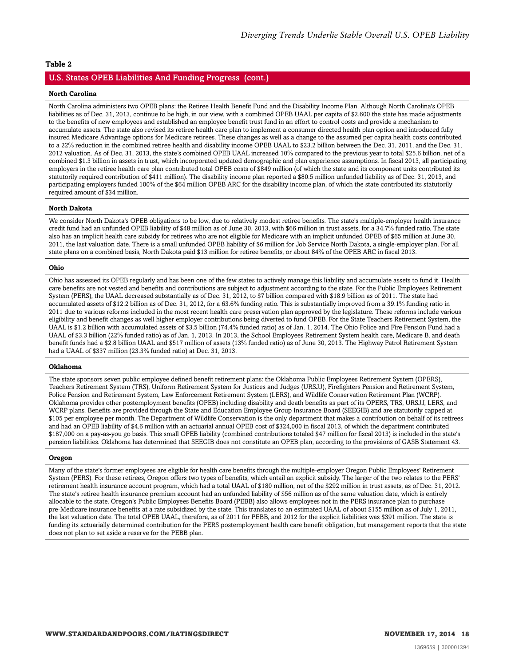#### U.S. States OPEB Liabilities And Funding Progress (cont.)

#### **North Carolina**

North Carolina administers two OPEB plans: the Retiree Health Benefit Fund and the Disability Income Plan. Although North Carolina's OPEB liabilities as of Dec. 31, 2013, continue to be high, in our view, with a combined OPEB UAAL per capita of \$2,600 the state has made adjustments to the benefits of new employees and established an employee benefit trust fund in an effort to control costs and provide a mechanism to accumulate assets. The state also revised its retiree health care plan to implement a consumer directed health plan option and introduced fully insured Medicare Advantage options for Medicare retirees. These changes as well as a change to the assumed per capita health costs contributed to a 22% reduction in the combined retiree health and disability income OPEB UAAL to \$23.2 billion between the Dec. 31, 2011, and the Dec. 31, 2012 valuation. As of Dec. 31, 2013, the state's combined OPEB UAAL increased 10% compared to the previous year to total \$25.6 billion, net of a combined \$1.3 billion in assets in trust, which incorporated updated demographic and plan experience assumptions. In fiscal 2013, all participating employers in the retiree health care plan contributed total OPEB costs of \$849 million (of which the state and its component units contributed its statutorily required contribution of \$411 million). The disability income plan reported a \$80.5 million unfunded liability as of Dec. 31, 2013, and participating employers funded 100% of the \$64 million OPEB ARC for the disability income plan, of which the state contributed its statutorily required amount of \$34 million.

#### **North Dakota**

We consider North Dakota's OPEB obligations to be low, due to relatively modest retiree benefits. The state's multiple-employer health insurance credit fund had an unfunded OPEB liability of \$48 million as of June 30, 2013, with \$66 million in trust assets, for a 34.7% funded ratio. The state also has an implicit health care subsidy for retirees who are not eligible for Medicare with an implicit unfunded OPEB of \$65 million at June 30, 2011, the last valuation date. There is a small unfunded OPEB liability of \$6 million for Job Service North Dakota, a single-employer plan. For all state plans on a combined basis, North Dakota paid \$13 million for retiree benefits, or about 84% of the OPEB ARC in fiscal 2013.

#### **Ohio**

Ohio has assessed its OPEB regularly and has been one of the few states to actively manage this liability and accumulate assets to fund it. Health care benefits are not vested and benefits and contributions are subject to adjustment according to the state. For the Public Employees Retirement System (PERS), the UAAL decreased substantially as of Dec. 31, 2012, to \$7 billion compared with \$18.9 billion as of 2011. The state had accumulated assets of \$12.2 billion as of Dec. 31, 2012, for a 63.6% funding ratio. This is substantially improved from a 39.1% funding ratio in 2011 due to various reforms included in the most recent health care preservation plan approved by the legislature. These reforms include various eligibility and benefit changes as well higher employer contributions being diverted to fund OPEB. For the State Teachers Retirement System, the UAAL is \$1.2 billion with accumulated assets of \$3.5 billion (74.4% funded ratio) as of Jan. 1, 2014. The Ohio Police and Fire Pension Fund had a UAAL of \$3.3 billion (22% funded ratio) as of Jan. 1, 2013. In 2013, the School Employees Retirement System health care, Medicare B, and death benefit funds had a \$2.8 billion UAAL and \$517 million of assets (13% funded ratio) as of June 30, 2013. The Highway Patrol Retirement System had a UAAL of \$337 million (23.3% funded ratio) at Dec. 31, 2013.

#### **Oklahoma**

The state sponsors seven public employee defined benefit retirement plans: the Oklahoma Public Employees Retirement System (OPERS), Teachers Retirement System (TRS), Uniform Retirement System for Justices and Judges (URSJJ), Firefighters Pension and Retirement System, Police Pension and Retirement System, Law Enforcement Retirement System (LERS), and Wildlife Conservation Retirement Plan (WCRP). Oklahoma provides other postemployment benefits (OPEB) including disability and death benefits as part of its OPERS, TRS, URSJJ, LERS, and WCRP plans. Benefits are provided through the State and Education Employee Group Insurance Board (SEEGIB) and are statutorily capped at \$105 per employee per month. The Department of Wildlife Conservation is the only department that makes a contribution on behalf of its retirees and had an OPEB liability of \$4.6 million with an actuarial annual OPEB cost of \$324,000 in fiscal 2013, of which the department contributed \$187,000 on a pay-as-you go basis. This small OPEB liability (combined contributions totaled \$47 million for fiscal 2013) is included in the state's pension liabilities. Oklahoma has determined that SEEGIB does not constitute an OPEB plan, according to the provisions of GASB Statement 43.

#### **Oregon**

Many of the state's former employees are eligible for health care benefits through the multiple-employer Oregon Public Employees' Retirement System (PERS). For these retirees, Oregon offers two types of benefits, which entail an explicit subsidy. The larger of the two relates to the PERS' retirement health insurance account program, which had a total UAAL of \$180 million, net of the \$292 million in trust assets, as of Dec. 31, 2012. The state's retiree health insurance premium account had an unfunded liability of \$56 million as of the same valuation date, which is entirely allocable to the state. Oregon's Public Employees Benefits Board (PEBB) also allows employees not in the PERS insurance plan to purchase pre-Medicare insurance benefits at a rate subsidized by the state. This translates to an estimated UAAL of about \$155 million as of July 1, 2011, the last valuation date. The total OPEB UAAL, therefore, as of 2011 for PEBB, and 2012 for the explicit liabilities was \$391 million. The state is funding its actuarially determined contribution for the PERS postemployment health care benefit obligation, but management reports that the state does not plan to set aside a reserve for the PEBB plan.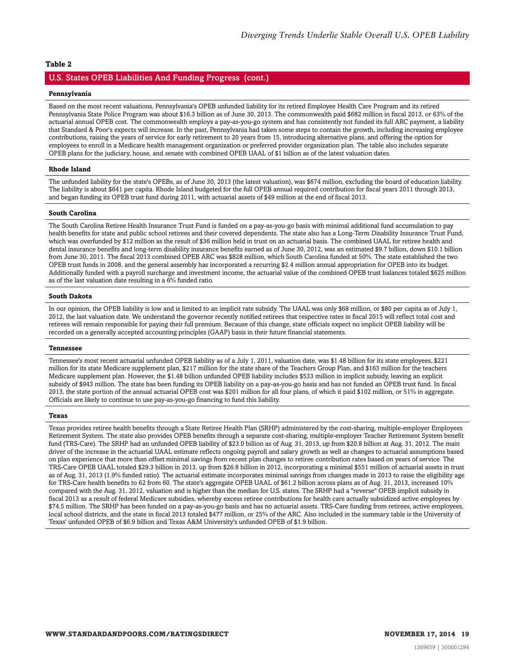#### U.S. States OPEB Liabilities And Funding Progress (cont.)

#### **Pennsylvania**

Based on the most recent valuations, Pennsylvania's OPEB unfunded liability for its retired Employee Health Care Program and its retired Pennsylvania State Police Program was about \$16.3 billion as of June 30, 2013. The commonwealth paid \$682 million in fiscal 2013, or 63% of the actuarial annual OPEB cost. The commonwealth employs a pay-as-you-go system and has consistently not funded its full ARC payment, a liability that Standard & Poor's expects will increase. In the past, Pennsylvania had taken some steps to contain the growth, including increasing employee contributions, raising the years of service for early retirement to 20 years from 15, introducing alternative plans, and offering the option for employees to enroll in a Medicare health management organization or preferred provider organization plan. The table also includes separate OPEB plans for the judiciary, house, and senate with combined OPEB UAAL of \$1 billion as of the latest valuation dates.

#### **Rhode Island**

The unfunded liability for the state's OPEBs, as of June 30, 2013 (the latest valuation), was \$674 million, excluding the board of education liability. The liability is about \$641 per capita. Rhode Island budgeted for the full OPEB annual required contribution for fiscal years 2011 through 2013, and began funding its OPEB trust fund during 2011, with actuarial assets of \$49 million at the end of fiscal 2013.

#### **South Carolina**

The South Carolina Retiree Health Insurance Trust Fund is funded on a pay-as-you-go basis with minimal additional fund accumulation to pay health benefits for state and public school retirees and their covered dependents. The state also has a Long-Term Disability Insurance Trust Fund, which was overfunded by \$12 million as the result of \$36 million held in trust on an actuarial basis. The combined UAAL for retiree health and dental insurance benefits and long-term disability insurance benefits earned as of June 30, 2012, was an estimated \$9.7 billion, down \$10.1 billion from June 30, 2011. The fiscal 2013 combined OPEB ARC was \$828 million, which South Carolina funded at 50%. The state established the two OPEB trust funds in 2008, and the general assembly has incorporated a recurring \$2.4 million annual appropriation for OPEB into its budget. Additionally funded with a payroll surcharge and investment income, the actuarial value of the combined OPEB trust balances totaled \$625 million as of the last valuation date resulting in a 6% funded ratio.

#### **South Dakota**

In our opinion, the OPEB liability is low and is limited to an implicit rate subsidy. The UAAL was only \$68 million, or \$80 per capita as of July 1, 2012, the last valuation date. We understand the governor recently notified retirees that respective rates in fiscal 2015 will reflect total cost and retirees will remain responsible for paying their full premium. Because of this change, state officials expect no implicit OPEB liability will be recorded on a generally accepted accounting principles (GAAP) basis in their future financial statements.

#### **Tennessee**

Tennessee's most recent actuarial unfunded OPEB liability as of a July 1, 2011, valuation date, was \$1.48 billion for its state employees, \$221 million for its state Medicare supplement plan, \$217 million for the state share of the Teachers Group Plan, and \$163 million for the teachers Medicare supplement plan. However, the \$1.48 billion unfunded OPEB liability includes \$533 million in implicit subsidy, leaving an explicit subsidy of \$943 million. The state has been funding its OPEB liability on a pay-as-you-go basis and has not funded an OPEB trust fund. In fiscal 2013, the state portion of the annual actuarial OPEB cost was \$201 million for all four plans, of which it paid \$102 million, or 51% in aggregate. Officials are likely to continue to use pay-as-you-go financing to fund this liability.

#### **Texas**

Texas provides retiree health benefits through a State Retiree Health Plan (SRHP) administered by the cost-sharing, multiple-employer Employees Retirement System. The state also provides OPEB benefits through a separate cost-sharing, multiple-employer Teacher Retirement System benefit fund (TRS-Care). The SRHP had an unfunded OPEB liability of \$23.0 billion as of Aug. 31, 2013, up from \$20.8 billion at Aug. 31, 2012. The main driver of the increase in the actuarial UAAL estimate reflects ongoing payroll and salary growth as well as changes to actuarial assumptions based on plan experience that more than offset minimal savings from recent plan changes to retiree contribution rates based on years of service. The TRS-Care OPEB UAAL totaled \$29.3 billion in 2013, up from \$26.8 billion in 2012, incorporating a minimal \$551 million of actuarial assets in trust as of Aug. 31, 2013 (1.9% funded ratio). The actuarial estimate incorporates minimal savings from changes made in 2013 to raise the eligibility age for TRS-Care health benefits to 62 from 60. The state's aggregate OPEB UAAL of \$61.2 billion across plans as of Aug. 31, 2013, increased 10% compared with the Aug. 31, 2012, valuation and is higher than the median for U.S. states. The SRHP had a "reverse" OPEB implicit subsidy in fiscal 2013 as a result of federal Medicare subsidies, whereby excess retiree contributions for health care actually subsidized active employees by \$74.5 million. The SRHP has been funded on a pay-as-you-go basis and has no actuarial assets. TRS-Care funding from retirees, active employees, local school districts, and the state in fiscal 2013 totaled \$477 million, or 25% of the ARC. Also included in the summary table is the University of Texas' unfunded OPEB of \$6.9 billion and Texas A&M University's unfunded OPEB of \$1.9 billion.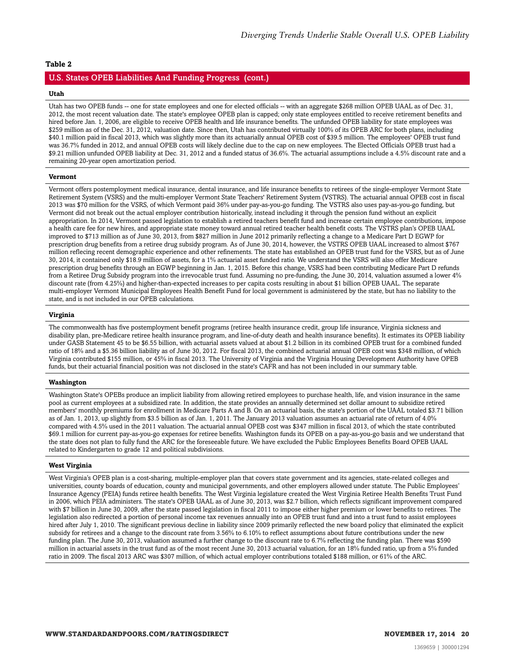#### U.S. States OPEB Liabilities And Funding Progress (cont.)

#### **Utah**

Utah has two OPEB funds -- one for state employees and one for elected officials -- with an aggregate \$268 million OPEB UAAL as of Dec. 31, 2012, the most recent valuation date. The state's employee OPEB plan is capped; only state employees entitled to receive retirement benefits and hired before Jan. 1, 2006, are eligible to receive OPEB health and life insurance benefits. The unfunded OPEB liability for state employees was \$259 million as of the Dec. 31, 2012, valuation date. Since then, Utah has contributed virtually 100% of its OPEB ARC for both plans, including \$40.1 million paid in fiscal 2013, which was slightly more than its actuarially annual OPEB cost of \$39.5 million. The employees' OPEB trust fund was 36.7% funded in 2012, and annual OPEB costs will likely decline due to the cap on new employees. The Elected Officials OPEB trust had a \$9.21 million unfunded OPEB liability at Dec. 31, 2012 and a funded status of 36.6%. The actuarial assumptions include a 4.5% discount rate and a remaining 20-year open amortization period.

#### **Vermont**

Vermont offers postemployment medical insurance, dental insurance, and life insurance benefits to retirees of the single-employer Vermont State Retirement System (VSRS) and the multi-employer Vermont State Teachers' Retirement System (VSTRS). The actuarial annual OPEB cost in fiscal 2013 was \$70 million for the VSRS, of which Vermont paid 36% under pay-as-you-go funding. The VSTRS also uses pay-as-you-go funding, but Vermont did not break out the actual employer contribution historically, instead including it through the pension fund without an explicit appropriation. In 2014, Vermont passed legislation to establish a retired teachers benefit fund and increase certain employee contributions, impose a health care fee for new hires, and appropriate state money toward annual retired teacher health benefit costs. The VSTRS plan's OPEB UAAL improved to \$713 million as of June 30, 2013, from \$827 million in June 2012 primarily reflecting a change to a Medicare Part D EGWP for prescription drug benefits from a retiree drug subsidy program. As of June 30, 2014, however, the VSTRS OPEB UAAL increased to almost \$767 million reflecing recent demographic experience and other refinements. The state has established an OPEB trust fund for the VSRS, but as of June 30, 2014, it contained only \$18.9 million of assets, for a 1% actuarial asset funded ratio. We understand the VSRS will also offer Medicare prescription drug benefits through an EGWP beginning in Jan. 1, 2015. Before this change, VSRS had been contributing Medicare Part D refunds from a Retiree Drug Subsidy program into the irrevocable trust fund. Assuming no pre-funding, the June 30, 2014, valuation assumed a lower 4% discount rate (from 4.25%) and higher-than-expected increases to per capita costs resulting in about \$1 billion OPEB UAAL. The separate multi-employer Vermont Municipal Employees Health Benefit Fund for local government is administered by the state, but has no liability to the state, and is not included in our OPEB calculations.

#### **Virginia**

The commonwealth has five postemployment benefit programs (retiree health insurance credit, group life insurance, Virginia sickness and disability plan, pre-Medicare retiree health insurance program, and line-of-duty death and health insurance benefits). It estimates its OPEB liability under GASB Statement 45 to be \$6.55 billion, with actuarial assets valued at about \$1.2 billion in its combined OPEB trust for a combined funded ratio of 18% and a \$5.36 billion liability as of June 30, 2012. For fiscal 2013, the combined actuarial annual OPEB cost was \$348 million, of which Virginia contributed \$155 million, or 45% in fiscal 2013. The University of Virginia and the Virginia Housing Development Authority have OPEB funds, but their actuarial financial position was not disclosed in the state's CAFR and has not been included in our summary table.

#### **Washington**

Washington State's OPEBs produce an implicit liability from allowing retired employees to purchase health, life, and vision insurance in the same pool as current employees at a subsidized rate. In addition, the state provides an annually determined set dollar amount to subsidize retired members' monthly premiums for enrollment in Medicare Parts A and B. On an actuarial basis, the state's portion of the UAAL totaled \$3.71 billion as of Jan. 1, 2013, up slightly from \$3.5 billion as of Jan. 1, 2011. The January 2013 valuation assumes an actuarial rate of return of 4.0% compared with 4.5% used in the 2011 valuation. The actuarial annual OPEB cost was \$347 million in fiscal 2013, of which the state contributed \$69.1 million for current pay-as-you-go expenses for retiree benefits. Washington funds its OPEB on a pay-as-you-go basis and we understand that the state does not plan to fully fund the ARC for the foreseeable future. We have excluded the Public Employees Benefits Board OPEB UAAL related to Kindergarten to grade 12 and political subdivisions.

#### **West Virginia**

West Virginia's OPEB plan is a cost-sharing, multiple-employer plan that covers state government and its agencies, state-related colleges and universities, county boards of education, county and municipal governments, and other employers allowed under statute. The Public Employees' Insurance Agency (PEIA) funds retiree health benefits. The West Virginia legislature created the West Virginia Retiree Health Benefits Trust Fund in 2006, which PEIA administers. The state's OPEB UAAL as of June 30, 2013, was \$2.7 billion, which reflects significant improvement compared with \$7 billion in June 30, 2009, after the state passed legislation in fiscal 2011 to impose either higher premium or lower benefits to retirees. The legislation also redirected a portion of personal income tax revenues annually into an OPEB trust fund and into a trust fund to assist employees hired after July 1, 2010. The significant previous decline in liability since 2009 primarily reflected the new board policy that eliminated the explicit subsidy for retirees and a change to the discount rate from 3.56% to 6.10% to reflect assumptions about future contributions under the new funding plan. The June 30, 2013, valuation assumed a further change to the discount rate to 6.7% reflecting the funding plan. There was \$590 million in actuarial assets in the trust fund as of the most recent June 30, 2013 actuarial valuation, for an 18% funded ratio, up from a 5% funded ratio in 2009. The fiscal 2013 ARC was \$307 million, of which actual employer contributions totaled \$188 million, or 61% of the ARC.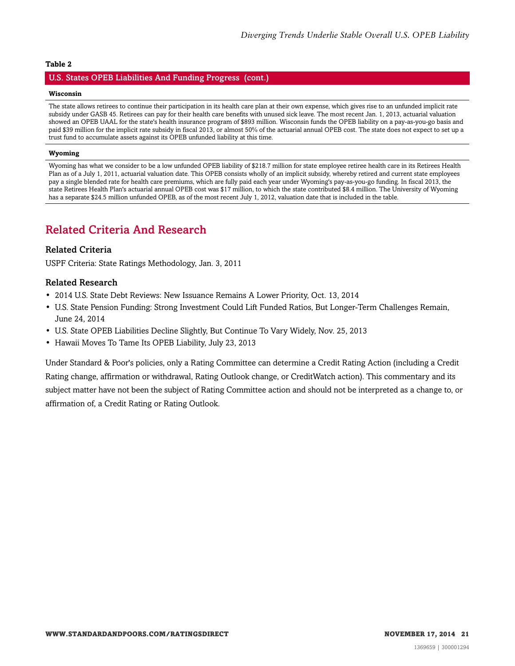#### U.S. States OPEB Liabilities And Funding Progress (cont.)

#### **Wisconsin**

The state allows retirees to continue their participation in its health care plan at their own expense, which gives rise to an unfunded implicit rate subsidy under GASB 45. Retirees can pay for their health care benefits with unused sick leave. The most recent Jan. 1, 2013, actuarial valuation showed an OPEB UAAL for the state's health insurance program of \$893 million. Wisconsin funds the OPEB liability on a pay-as-you-go basis and paid \$39 million for the implicit rate subsidy in fiscal 2013, or almost 50% of the actuarial annual OPEB cost. The state does not expect to set up a trust fund to accumulate assets against its OPEB unfunded liability at this time.

#### **Wyoming**

Wyoming has what we consider to be a low unfunded OPEB liability of \$218.7 million for state employee retiree health care in its Retirees Health Plan as of a July 1, 2011, actuarial valuation date. This OPEB consists wholly of an implicit subsidy, whereby retired and current state employees pay a single blended rate for health care premiums, which are fully paid each year under Wyoming's pay-as-you-go funding. In fiscal 2013, the state Retirees Health Plan's actuarial annual OPEB cost was \$17 million, to which the state contributed \$8.4 million. The University of Wyoming has a separate \$24.5 million unfunded OPEB, as of the most recent July 1, 2012, valuation date that is included in the table.

## <span id="page-20-0"></span>Related Criteria And Research

#### Related Criteria

USPF Criteria: State Ratings Methodology, Jan. 3, 2011

#### Related Research

- 2014 U.S. State Debt Reviews: New Issuance Remains A Lower Priority, Oct. 13, 2014
- U.S. State Pension Funding: Strong Investment Could Lift Funded Ratios, But Longer-Term Challenges Remain, June 24, 2014
- U.S. State OPEB Liabilities Decline Slightly, But Continue To Vary Widely, Nov. 25, 2013
- Hawaii Moves To Tame Its OPEB Liability, July 23, 2013

Under Standard & Poor's policies, only a Rating Committee can determine a Credit Rating Action (including a Credit Rating change, affirmation or withdrawal, Rating Outlook change, or CreditWatch action). This commentary and its subject matter have not been the subject of Rating Committee action and should not be interpreted as a change to, or affirmation of, a Credit Rating or Rating Outlook.